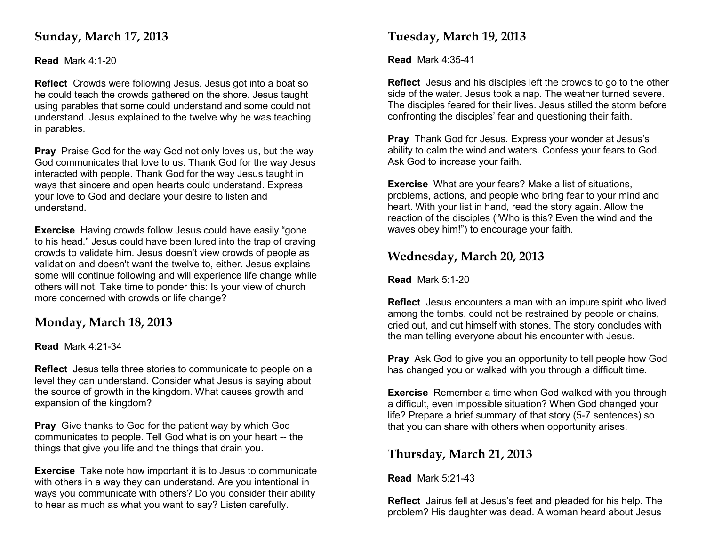# **Sunday, March 17, 2013**

#### **Read** Mark 4:1-20

**Reflect** Crowds were following Jesus. Jesus got into a boat so he could teach the crowds gathered on the shore. Jesus taught using parables that some could understand and some could not understand. Jesus explained to the twelve why he was teaching in parables.

**Pray** Praise God for the way God not only loves us, but the way God communicates that love to us. Thank God for the way Jesus interacted with people. Thank God for the way Jesus taught in ways that sincere and open hearts could understand. Express your love to God and declare your desire to listen and understand.

**Exercise** Having crowds follow Jesus could have easily "gone to his head." Jesus could have been lured into the trap of craving crowds to validate him. Jesus doesn't view crowds of people as validation and doesn't want the twelve to, either. Jesus explains some will continue following and will experience life change while others will not. Take time to ponder this: Is your view of church more concerned with crowds or life change?

# **Monday, March 18, 2013**

#### **Read** Mark 4:21-34

**Reflect** Jesus tells three stories to communicate to people on a level they can understand. Consider what Jesus is saying about the source of growth in the kingdom. What causes growth and expansion of the kingdom?

**Pray** Give thanks to God for the patient way by which God communicates to people. Tell God what is on your heart -- the things that give you life and the things that drain you.

**Exercise** Take note how important it is to Jesus to communicate with others in a way they can understand. Are you intentional in ways you communicate with others? Do you consider their ability to hear as much as what you want to say? Listen carefully.

# **Tuesday, March 19, 2013**

**Read** Mark 4:35-41

**Reflect** Jesus and his disciples left the crowds to go to the other side of the water. Jesus took a nap. The weather turned severe. The disciples feared for their lives. Jesus stilled the storm before confronting the disciples' fear and questioning their faith.

**Pray** Thank God for Jesus. Express your wonder at Jesus's ability to calm the wind and waters. Confess your fears to God. Ask God to increase your faith.

**Exercise** What are your fears? Make a list of situations, problems, actions, and people who bring fear to your mind and heart. With your list in hand, read the story again. Allow the reaction of the disciples ("Who is this? Even the wind and the waves obey him!") to encourage your faith.

# **Wednesday, March 20, 2013**

**Read** Mark 5:1-20

**Reflect** Jesus encounters a man with an impure spirit who lived among the tombs, could not be restrained by people or chains, cried out, and cut himself with stones. The story concludes with the man telling everyone about his encounter with Jesus.

**Pray** Ask God to give you an opportunity to tell people how God has changed you or walked with you through a difficult time.

**Exercise** Remember a time when God walked with you through a difficult, even impossible situation? When God changed your life? Prepare a brief summary of that story (5-7 sentences) so that you can share with others when opportunity arises.

# **Thursday, March 21, 2013**

**Read** Mark 5:21-43

**Reflect** Jairus fell at Jesus's feet and pleaded for his help. The problem? His daughter was dead. A woman heard about Jesus